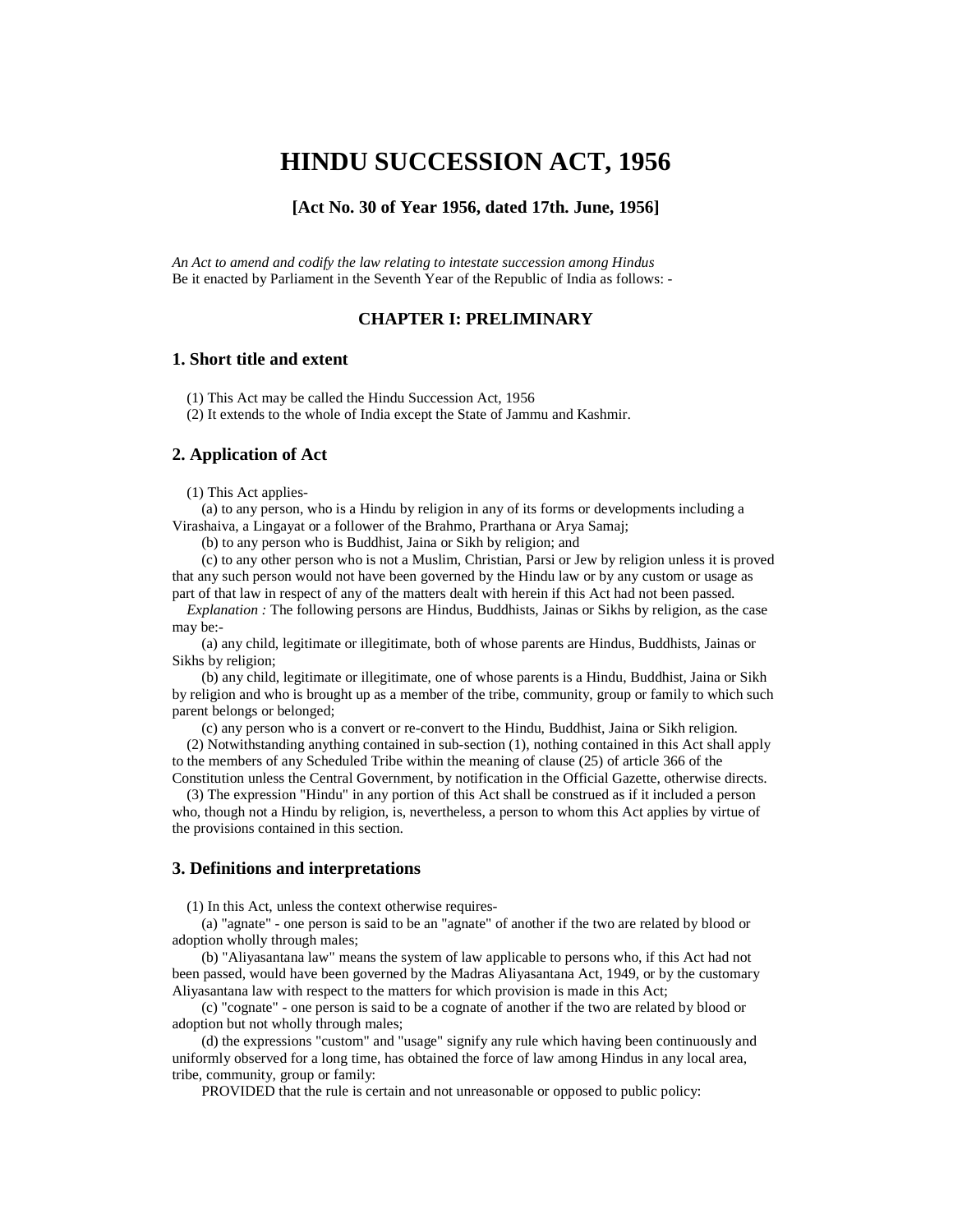# **HINDU SUCCESSION ACT, 1956**

## **[Act No. 30 of Year 1956, dated 17th. June, 1956]**

*An Act to amend and codify the law relating to intestate succession among Hindus* Be it enacted by Parliament in the Seventh Year of the Republic of India as follows: -

## **CHAPTER I: PRELIMINARY**

#### **1. Short title and extent**

(1) This Act may be called the Hindu Succession Act, 1956

(2) It extends to the whole of India except the State of Jammu and Kashmir.

### **2. Application of Act**

(1) This Act applies-

 (a) to any person, who is a Hindu by religion in any of its forms or developments including a Virashaiva, a Lingayat or a follower of the Brahmo, Prarthana or Arya Samaj;

(b) to any person who is Buddhist, Jaina or Sikh by religion; and

 (c) to any other person who is not a Muslim, Christian, Parsi or Jew by religion unless it is proved that any such person would not have been governed by the Hindu law or by any custom or usage as part of that law in respect of any of the matters dealt with herein if this Act had not been passed.

 *Explanation :* The following persons are Hindus, Buddhists, Jainas or Sikhs by religion, as the case may be:-

 (a) any child, legitimate or illegitimate, both of whose parents are Hindus, Buddhists, Jainas or Sikhs by religion;

 (b) any child, legitimate or illegitimate, one of whose parents is a Hindu, Buddhist, Jaina or Sikh by religion and who is brought up as a member of the tribe, community, group or family to which such parent belongs or belonged;

(c) any person who is a convert or re-convert to the Hindu, Buddhist, Jaina or Sikh religion.

 (2) Notwithstanding anything contained in sub-section (1), nothing contained in this Act shall apply to the members of any Scheduled Tribe within the meaning of clause (25) of article 366 of the

Constitution unless the Central Government, by notification in the Official Gazette, otherwise directs. (3) The expression "Hindu" in any portion of this Act shall be construed as if it included a person who, though not a Hindu by religion, is, nevertheless, a person to whom this Act applies by virtue of

the provisions contained in this section.

## **3. Definitions and interpretations**

(1) In this Act, unless the context otherwise requires-

 (a) "agnate" - one person is said to be an "agnate" of another if the two are related by blood or adoption wholly through males;

 (b) "Aliyasantana law" means the system of law applicable to persons who, if this Act had not been passed, would have been governed by the Madras Aliyasantana Act, 1949, or by the customary Aliyasantana law with respect to the matters for which provision is made in this Act;

 (c) "cognate" - one person is said to be a cognate of another if the two are related by blood or adoption but not wholly through males;

 (d) the expressions "custom" and "usage" signify any rule which having been continuously and uniformly observed for a long time, has obtained the force of law among Hindus in any local area, tribe, community, group or family:

PROVIDED that the rule is certain and not unreasonable or opposed to public policy: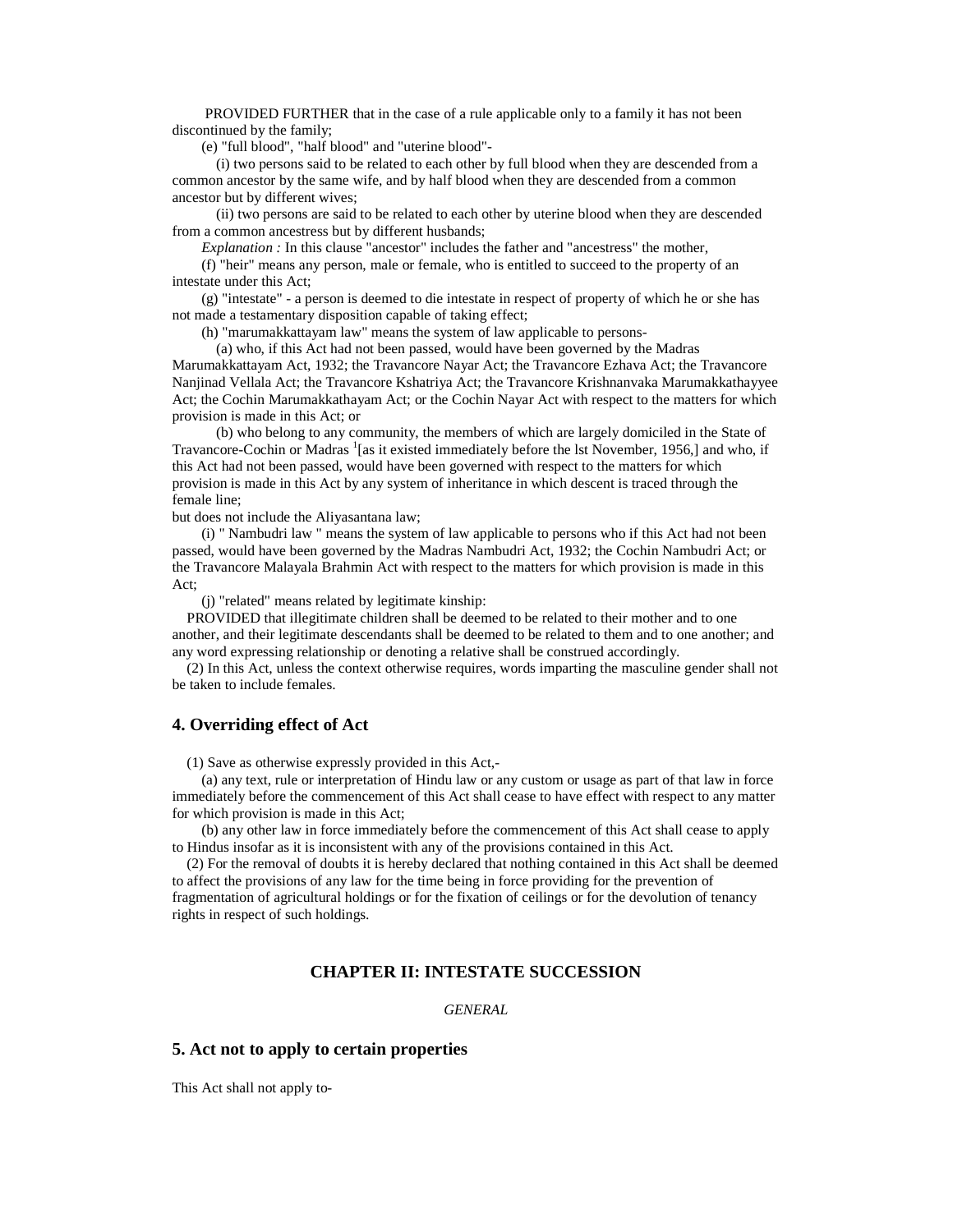PROVIDED FURTHER that in the case of a rule applicable only to a family it has not been discontinued by the family;

(e) "full blood", "half blood" and "uterine blood"-

 (i) two persons said to be related to each other by full blood when they are descended from a common ancestor by the same wife, and by half blood when they are descended from a common ancestor but by different wives;

 (ii) two persons are said to be related to each other by uterine blood when they are descended from a common ancestress but by different husbands;

 *Explanation :* In this clause "ancestor" includes the father and "ancestress" the mother,

 (f) "heir" means any person, male or female, who is entitled to succeed to the property of an intestate under this Act;

 (g) "intestate" - a person is deemed to die intestate in respect of property of which he or she has not made a testamentary disposition capable of taking effect;

(h) "marumakkattayam law" means the system of law applicable to persons-

 (a) who, if this Act had not been passed, would have been governed by the Madras Marumakkattayam Act, 1932; the Travancore Nayar Act; the Travancore Ezhava Act; the Travancore Nanjinad Vellala Act; the Travancore Kshatriya Act; the Travancore Krishnanvaka Marumakkathayyee Act; the Cochin Marumakkathayam Act; or the Cochin Nayar Act with respect to the matters for which provision is made in this Act; or

 (b) who belong to any community, the members of which are largely domiciled in the State of Travancore-Cochin or Madras <sup>1</sup>[as it existed immediately before the lst November, 1956,] and who, if this Act had not been passed, would have been governed with respect to the matters for which provision is made in this Act by any system of inheritance in which descent is traced through the female line;

but does not include the Aliyasantana law;

 (i) " Nambudri law " means the system of law applicable to persons who if this Act had not been passed, would have been governed by the Madras Nambudri Act, 1932; the Cochin Nambudri Act; or the Travancore Malayala Brahmin Act with respect to the matters for which provision is made in this Act;

(j) "related" means related by legitimate kinship:

 PROVIDED that illegitimate children shall be deemed to be related to their mother and to one another, and their legitimate descendants shall be deemed to be related to them and to one another; and any word expressing relationship or denoting a relative shall be construed accordingly.

 (2) In this Act, unless the context otherwise requires, words imparting the masculine gender shall not be taken to include females.

#### **4. Overriding effect of Act**

(1) Save as otherwise expressly provided in this Act,-

 (a) any text, rule or interpretation of Hindu law or any custom or usage as part of that law in force immediately before the commencement of this Act shall cease to have effect with respect to any matter for which provision is made in this Act;

 (b) any other law in force immediately before the commencement of this Act shall cease to apply to Hindus insofar as it is inconsistent with any of the provisions contained in this Act.

 (2) For the removal of doubts it is hereby declared that nothing contained in this Act shall be deemed to affect the provisions of any law for the time being in force providing for the prevention of fragmentation of agricultural holdings or for the fixation of ceilings or for the devolution of tenancy rights in respect of such holdings.

## **CHAPTER II: INTESTATE SUCCESSION**

*GENERAL*

#### **5. Act not to apply to certain properties**

This Act shall not apply to-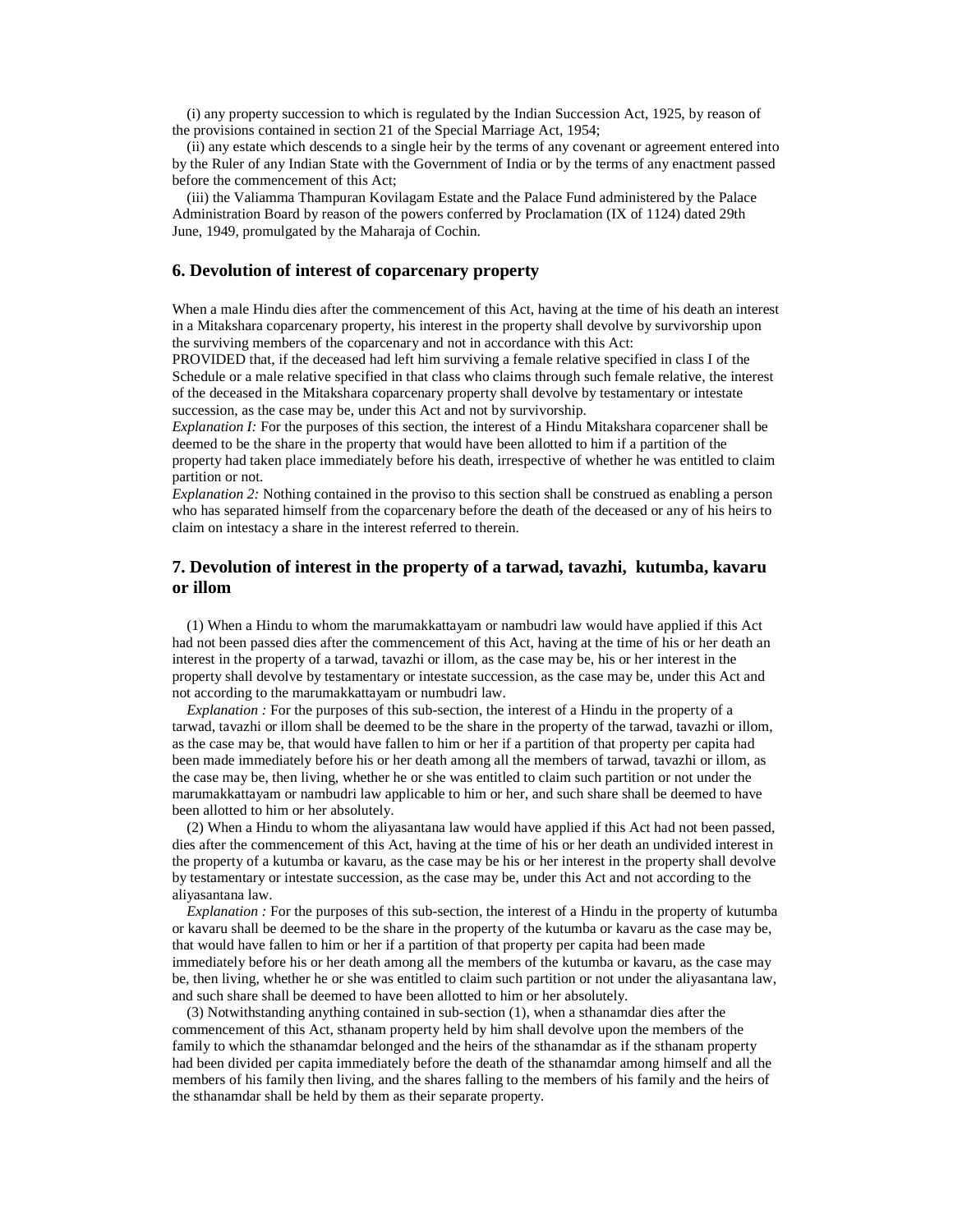(i) any property succession to which is regulated by the Indian Succession Act, 1925, by reason of the provisions contained in section 21 of the Special Marriage Act, 1954;

 (ii) any estate which descends to a single heir by the terms of any covenant or agreement entered into by the Ruler of any Indian State with the Government of India or by the terms of any enactment passed before the commencement of this Act;

 (iii) the Valiamma Thampuran Kovilagam Estate and the Palace Fund administered by the Palace Administration Board by reason of the powers conferred by Proclamation (IX of 1124) dated 29th June, 1949, promulgated by the Maharaja of Cochin.

#### **6. Devolution of interest of coparcenary property**

When a male Hindu dies after the commencement of this Act, having at the time of his death an interest in a Mitakshara coparcenary property, his interest in the property shall devolve by survivorship upon the surviving members of the coparcenary and not in accordance with this Act:

PROVIDED that, if the deceased had left him surviving a female relative specified in class I of the Schedule or a male relative specified in that class who claims through such female relative, the interest of the deceased in the Mitakshara coparcenary property shall devolve by testamentary or intestate succession, as the case may be, under this Act and not by survivorship.

*Explanation I:* For the purposes of this section, the interest of a Hindu Mitakshara coparcener shall be deemed to be the share in the property that would have been allotted to him if a partition of the property had taken place immediately before his death, irrespective of whether he was entitled to claim partition or not.

*Explanation 2:* Nothing contained in the proviso to this section shall be construed as enabling a person who has separated himself from the coparcenary before the death of the deceased or any of his heirs to claim on intestacy a share in the interest referred to therein.

## **7. Devolution of interest in the property of a tarwad, tavazhi, kutumba, kavaru or illom**

 (1) When a Hindu to whom the marumakkattayam or nambudri law would have applied if this Act had not been passed dies after the commencement of this Act, having at the time of his or her death an interest in the property of a tarwad, tavazhi or illom, as the case may be, his or her interest in the property shall devolve by testamentary or intestate succession, as the case may be, under this Act and not according to the marumakkattayam or numbudri law.

*Explanation :* For the purposes of this sub-section, the interest of a Hindu in the property of a tarwad, tavazhi or illom shall be deemed to be the share in the property of the tarwad, tavazhi or illom, as the case may be, that would have fallen to him or her if a partition of that property per capita had been made immediately before his or her death among all the members of tarwad, tavazhi or illom, as the case may be, then living, whether he or she was entitled to claim such partition or not under the marumakkattayam or nambudri law applicable to him or her, and such share shall be deemed to have been allotted to him or her absolutely.

 (2) When a Hindu to whom the aliyasantana law would have applied if this Act had not been passed, dies after the commencement of this Act, having at the time of his or her death an undivided interest in the property of a kutumba or kavaru, as the case may be his or her interest in the property shall devolve by testamentary or intestate succession, as the case may be, under this Act and not according to the aliyasantana law.

*Explanation :* For the purposes of this sub-section, the interest of a Hindu in the property of kutumba or kavaru shall be deemed to be the share in the property of the kutumba or kavaru as the case may be, that would have fallen to him or her if a partition of that property per capita had been made immediately before his or her death among all the members of the kutumba or kavaru, as the case may be, then living, whether he or she was entitled to claim such partition or not under the aliyasantana law, and such share shall be deemed to have been allotted to him or her absolutely.

 (3) Notwithstanding anything contained in sub-section (1), when a sthanamdar dies after the commencement of this Act, sthanam property held by him shall devolve upon the members of the family to which the sthanamdar belonged and the heirs of the sthanamdar as if the sthanam property had been divided per capita immediately before the death of the sthanamdar among himself and all the members of his family then living, and the shares falling to the members of his family and the heirs of the sthanamdar shall be held by them as their separate property.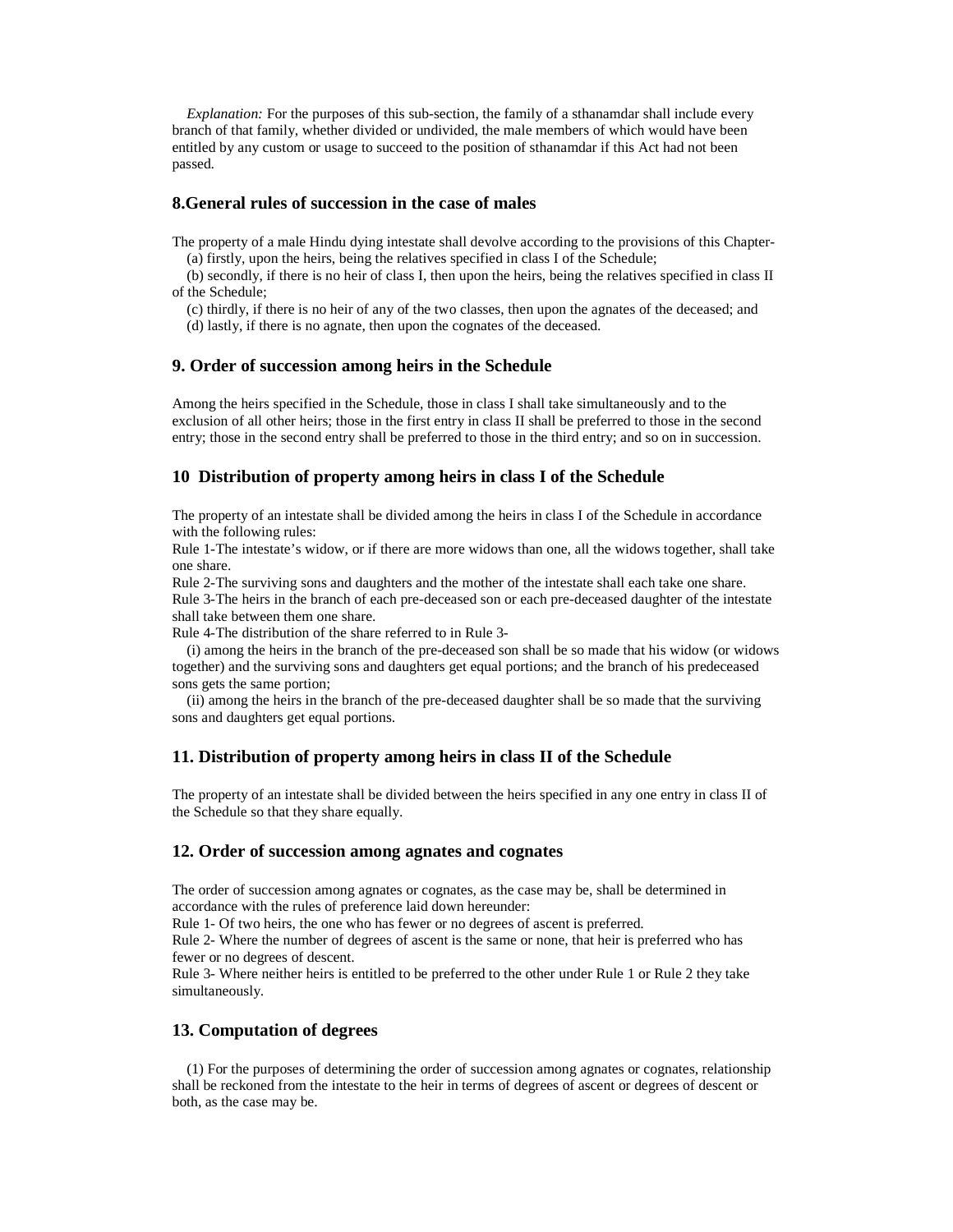*Explanation:* For the purposes of this sub-section, the family of a sthanamdar shall include every branch of that family, whether divided or undivided, the male members of which would have been entitled by any custom or usage to succeed to the position of sthanamdar if this Act had not been passed.

#### **8.General rules of succession in the case of males**

The property of a male Hindu dying intestate shall devolve according to the provisions of this Chapter- (a) firstly, upon the heirs, being the relatives specified in class I of the Schedule;

 (b) secondly, if there is no heir of class I, then upon the heirs, being the relatives specified in class II of the Schedule;

 (c) thirdly, if there is no heir of any of the two classes, then upon the agnates of the deceased; and (d) lastly, if there is no agnate, then upon the cognates of the deceased.

#### **9. Order of succession among heirs in the Schedule**

Among the heirs specified in the Schedule, those in class I shall take simultaneously and to the exclusion of all other heirs; those in the first entry in class II shall be preferred to those in the second entry; those in the second entry shall be preferred to those in the third entry; and so on in succession.

#### **10 Distribution of property among heirs in class I of the Schedule**

The property of an intestate shall be divided among the heirs in class I of the Schedule in accordance with the following rules:

Rule 1-The intestate's widow, or if there are more widows than one, all the widows together, shall take one share.

Rule 2-The surviving sons and daughters and the mother of the intestate shall each take one share. Rule 3-The heirs in the branch of each pre-deceased son or each pre-deceased daughter of the intestate

shall take between them one share.

Rule 4-The distribution of the share referred to in Rule 3-

 (i) among the heirs in the branch of the pre-deceased son shall be so made that his widow (or widows together) and the surviving sons and daughters get equal portions; and the branch of his predeceased sons gets the same portion;

 (ii) among the heirs in the branch of the pre-deceased daughter shall be so made that the surviving sons and daughters get equal portions.

## **11. Distribution of property among heirs in class II of the Schedule**

The property of an intestate shall be divided between the heirs specified in any one entry in class II of the Schedule so that they share equally.

## **12. Order of succession among agnates and cognates**

The order of succession among agnates or cognates, as the case may be, shall be determined in accordance with the rules of preference laid down hereunder:

Rule 1- Of two heirs, the one who has fewer or no degrees of ascent is preferred.

Rule 2- Where the number of degrees of ascent is the same or none, that heir is preferred who has fewer or no degrees of descent.

Rule 3- Where neither heirs is entitled to be preferred to the other under Rule 1 or Rule 2 they take simultaneously.

## **13. Computation of degrees**

 (1) For the purposes of determining the order of succession among agnates or cognates, relationship shall be reckoned from the intestate to the heir in terms of degrees of ascent or degrees of descent or both, as the case may be.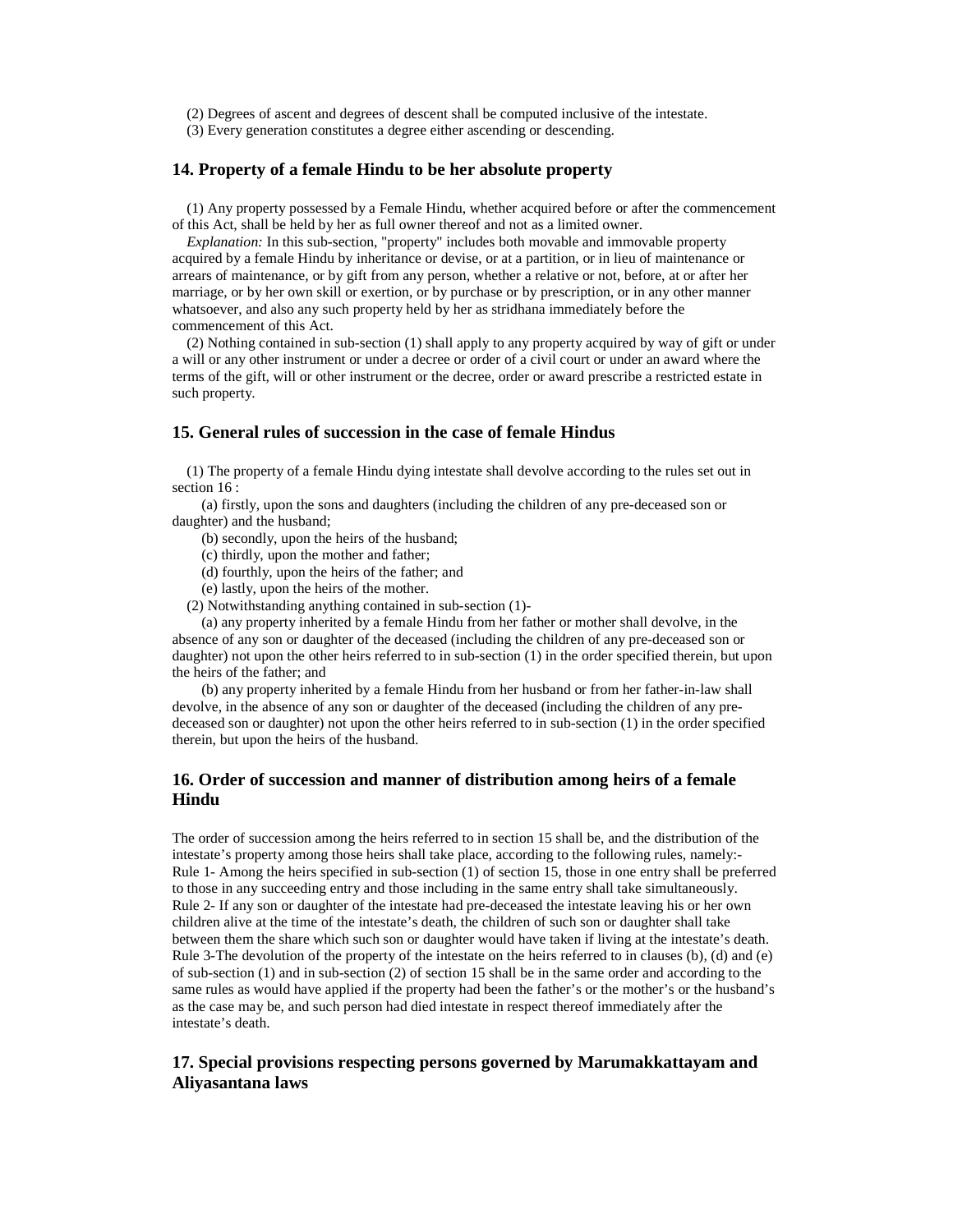(2) Degrees of ascent and degrees of descent shall be computed inclusive of the intestate.

(3) Every generation constitutes a degree either ascending or descending.

## **14. Property of a female Hindu to be her absolute property**

 (1) Any property possessed by a Female Hindu, whether acquired before or after the commencement of this Act, shall be held by her as full owner thereof and not as a limited owner.

 *Explanation:* In this sub-section, "property" includes both movable and immovable property acquired by a female Hindu by inheritance or devise, or at a partition, or in lieu of maintenance or arrears of maintenance, or by gift from any person, whether a relative or not, before, at or after her marriage, or by her own skill or exertion, or by purchase or by prescription, or in any other manner whatsoever, and also any such property held by her as stridhana immediately before the commencement of this Act.

 (2) Nothing contained in sub-section (1) shall apply to any property acquired by way of gift or under a will or any other instrument or under a decree or order of a civil court or under an award where the terms of the gift, will or other instrument or the decree, order or award prescribe a restricted estate in such property.

#### **15. General rules of succession in the case of female Hindus**

 (1) The property of a female Hindu dying intestate shall devolve according to the rules set out in section 16 :

 (a) firstly, upon the sons and daughters (including the children of any pre-deceased son or daughter) and the husband;

(b) secondly, upon the heirs of the husband;

- (c) thirdly, upon the mother and father;
- (d) fourthly, upon the heirs of the father; and
- (e) lastly, upon the heirs of the mother.
- (2) Notwithstanding anything contained in sub-section (1)-

 (a) any property inherited by a female Hindu from her father or mother shall devolve, in the absence of any son or daughter of the deceased (including the children of any pre-deceased son or daughter) not upon the other heirs referred to in sub-section (1) in the order specified therein, but upon the heirs of the father; and

 (b) any property inherited by a female Hindu from her husband or from her father-in-law shall devolve, in the absence of any son or daughter of the deceased (including the children of any predeceased son or daughter) not upon the other heirs referred to in sub-section (1) in the order specified therein, but upon the heirs of the husband.

## **16. Order of succession and manner of distribution among heirs of a female Hindu**

The order of succession among the heirs referred to in section 15 shall be, and the distribution of the intestate's property among those heirs shall take place, according to the following rules, namely:- Rule 1- Among the heirs specified in sub-section (1) of section 15, those in one entry shall be preferred to those in any succeeding entry and those including in the same entry shall take simultaneously. Rule 2- If any son or daughter of the intestate had pre-deceased the intestate leaving his or her own children alive at the time of the intestate's death, the children of such son or daughter shall take between them the share which such son or daughter would have taken if living at the intestate's death. Rule 3-The devolution of the property of the intestate on the heirs referred to in clauses (b), (d) and (e) of sub-section (1) and in sub-section (2) of section 15 shall be in the same order and according to the same rules as would have applied if the property had been the father's or the mother's or the husband's as the case may be, and such person had died intestate in respect thereof immediately after the intestate's death.

## **17. Special provisions respecting persons governed by Marumakkattayam and Aliyasantana laws**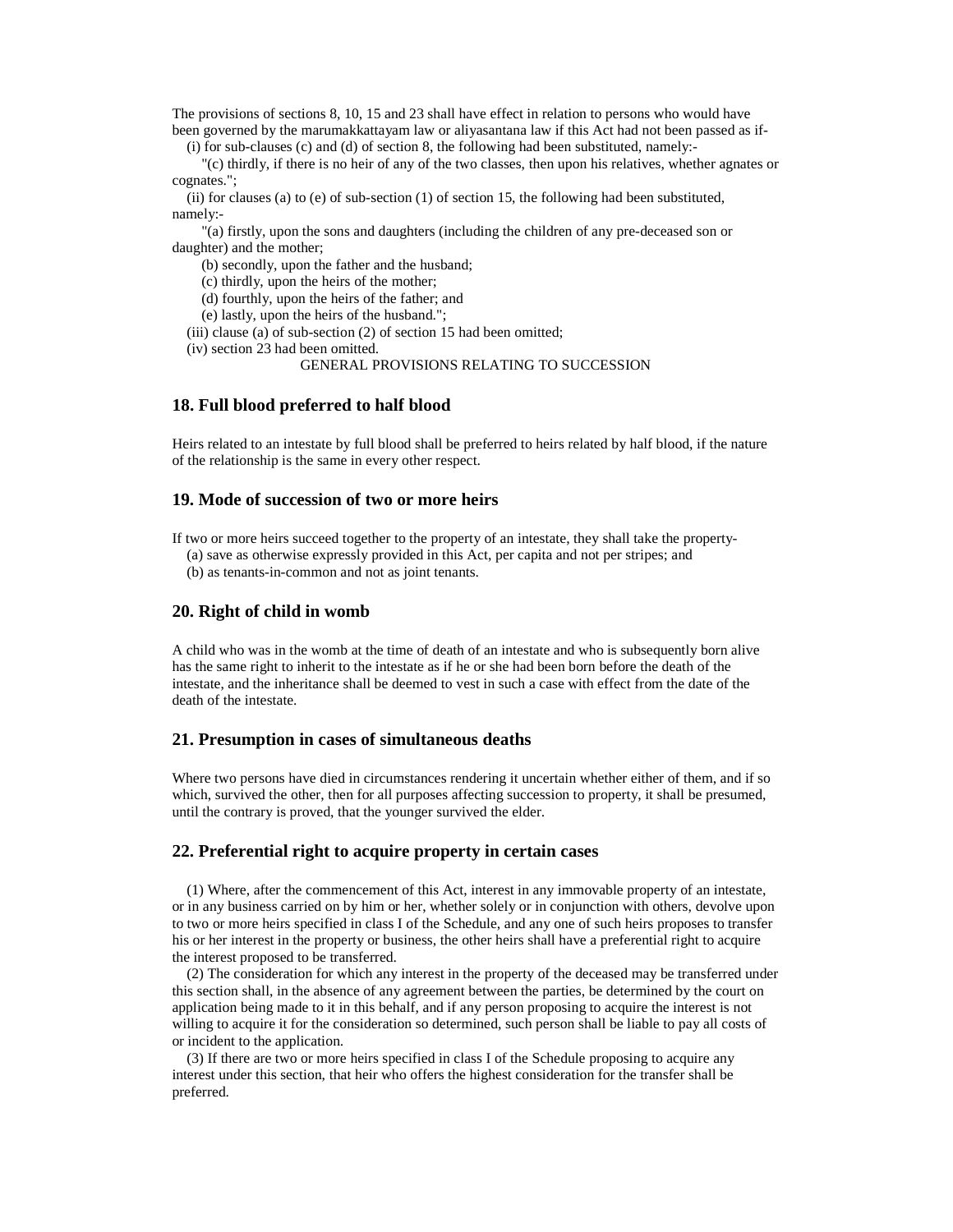The provisions of sections 8, 10, 15 and 23 shall have effect in relation to persons who would have been governed by the marumakkattayam law or aliyasantana law if this Act had not been passed as if-

(i) for sub-clauses (c) and (d) of section 8, the following had been substituted, namely:-

 "(c) thirdly, if there is no heir of any of the two classes, then upon his relatives, whether agnates or cognates.";

(ii) for clauses (a) to (e) of sub-section  $(1)$  of section 15, the following had been substituted, namely:-

 "(a) firstly, upon the sons and daughters (including the children of any pre-deceased son or daughter) and the mother;

(b) secondly, upon the father and the husband;

(c) thirdly, upon the heirs of the mother;

(d) fourthly, upon the heirs of the father; and

(e) lastly, upon the heirs of the husband.";

(iii) clause (a) of sub-section (2) of section 15 had been omitted;

(iv) section 23 had been omitted.

GENERAL PROVISIONS RELATING TO SUCCESSION

#### **18. Full blood preferred to half blood**

Heirs related to an intestate by full blood shall be preferred to heirs related by half blood, if the nature of the relationship is the same in every other respect.

#### **19. Mode of succession of two or more heirs**

If two or more heirs succeed together to the property of an intestate, they shall take the property-

(a) save as otherwise expressly provided in this Act, per capita and not per stripes; and

(b) as tenants-in-common and not as joint tenants.

#### **20. Right of child in womb**

A child who was in the womb at the time of death of an intestate and who is subsequently born alive has the same right to inherit to the intestate as if he or she had been born before the death of the intestate, and the inheritance shall be deemed to vest in such a case with effect from the date of the death of the intestate.

#### **21. Presumption in cases of simultaneous deaths**

Where two persons have died in circumstances rendering it uncertain whether either of them, and if so which, survived the other, then for all purposes affecting succession to property, it shall be presumed, until the contrary is proved, that the younger survived the elder.

#### **22. Preferential right to acquire property in certain cases**

 (1) Where, after the commencement of this Act, interest in any immovable property of an intestate, or in any business carried on by him or her, whether solely or in conjunction with others, devolve upon to two or more heirs specified in class I of the Schedule, and any one of such heirs proposes to transfer his or her interest in the property or business, the other heirs shall have a preferential right to acquire the interest proposed to be transferred.

 (2) The consideration for which any interest in the property of the deceased may be transferred under this section shall, in the absence of any agreement between the parties, be determined by the court on application being made to it in this behalf, and if any person proposing to acquire the interest is not willing to acquire it for the consideration so determined, such person shall be liable to pay all costs of or incident to the application.

 (3) If there are two or more heirs specified in class I of the Schedule proposing to acquire any interest under this section, that heir who offers the highest consideration for the transfer shall be preferred.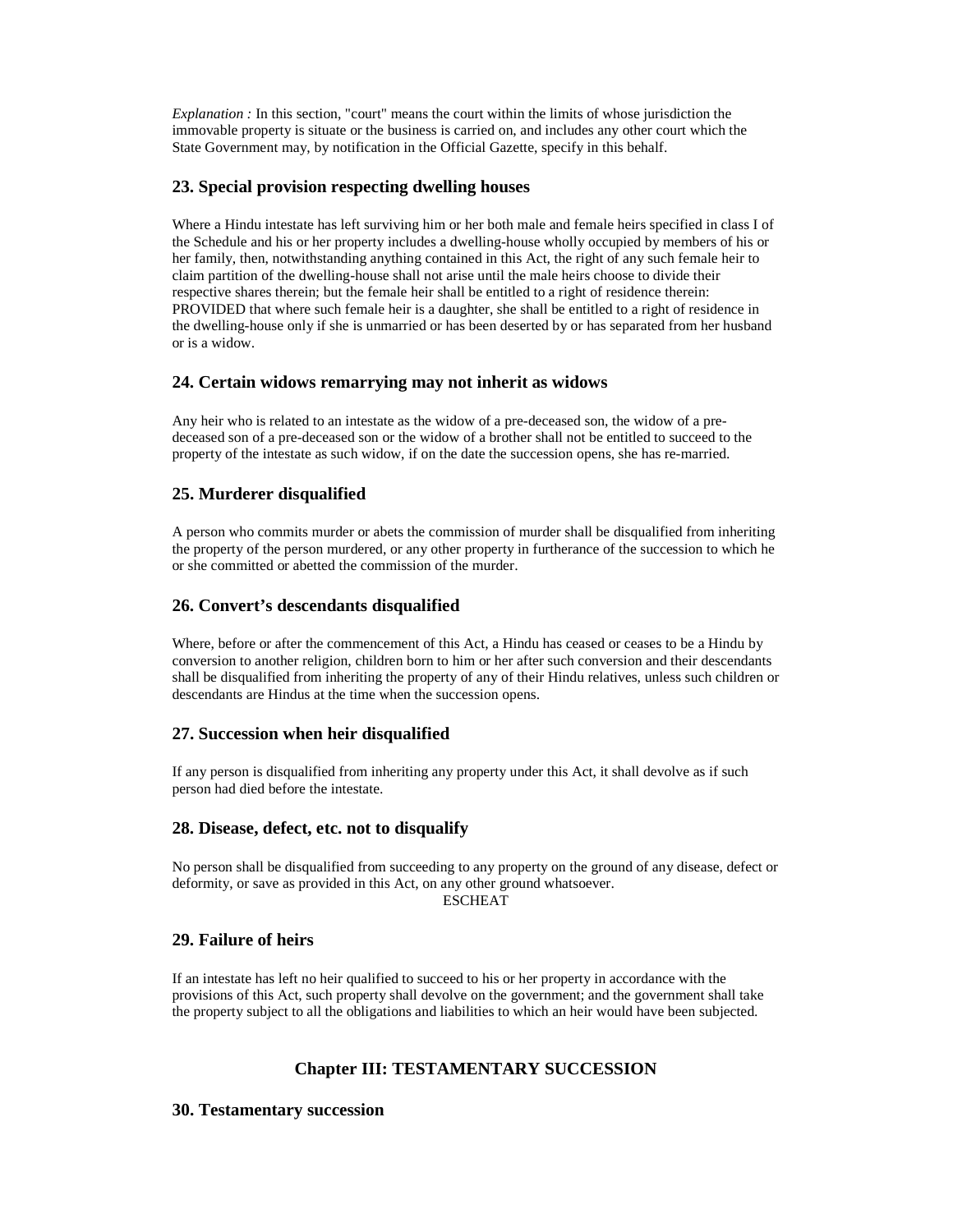*Explanation :* In this section, "court" means the court within the limits of whose jurisdiction the immovable property is situate or the business is carried on, and includes any other court which the State Government may, by notification in the Official Gazette, specify in this behalf.

## **23. Special provision respecting dwelling houses**

Where a Hindu intestate has left surviving him or her both male and female heirs specified in class I of the Schedule and his or her property includes a dwelling-house wholly occupied by members of his or her family, then, notwithstanding anything contained in this Act, the right of any such female heir to claim partition of the dwelling-house shall not arise until the male heirs choose to divide their respective shares therein; but the female heir shall be entitled to a right of residence therein: PROVIDED that where such female heir is a daughter, she shall be entitled to a right of residence in the dwelling-house only if she is unmarried or has been deserted by or has separated from her husband or is a widow.

## **24. Certain widows remarrying may not inherit as widows**

Any heir who is related to an intestate as the widow of a pre-deceased son, the widow of a predeceased son of a pre-deceased son or the widow of a brother shall not be entitled to succeed to the property of the intestate as such widow, if on the date the succession opens, she has re-married.

# **25. Murderer disqualified**

A person who commits murder or abets the commission of murder shall be disqualified from inheriting the property of the person murdered, or any other property in furtherance of the succession to which he or she committed or abetted the commission of the murder.

## **26. Convert's descendants disqualified**

Where, before or after the commencement of this Act, a Hindu has ceased or ceases to be a Hindu by conversion to another religion, children born to him or her after such conversion and their descendants shall be disqualified from inheriting the property of any of their Hindu relatives, unless such children or descendants are Hindus at the time when the succession opens.

## **27. Succession when heir disqualified**

If any person is disqualified from inheriting any property under this Act, it shall devolve as if such person had died before the intestate.

## **28. Disease, defect, etc. not to disqualify**

No person shall be disqualified from succeeding to any property on the ground of any disease, defect or deformity, or save as provided in this Act, on any other ground whatsoever. ESCHEAT

# **29. Failure of heirs**

If an intestate has left no heir qualified to succeed to his or her property in accordance with the provisions of this Act, such property shall devolve on the government; and the government shall take the property subject to all the obligations and liabilities to which an heir would have been subjected.

# **Chapter III: TESTAMENTARY SUCCESSION**

## **30. Testamentary succession**